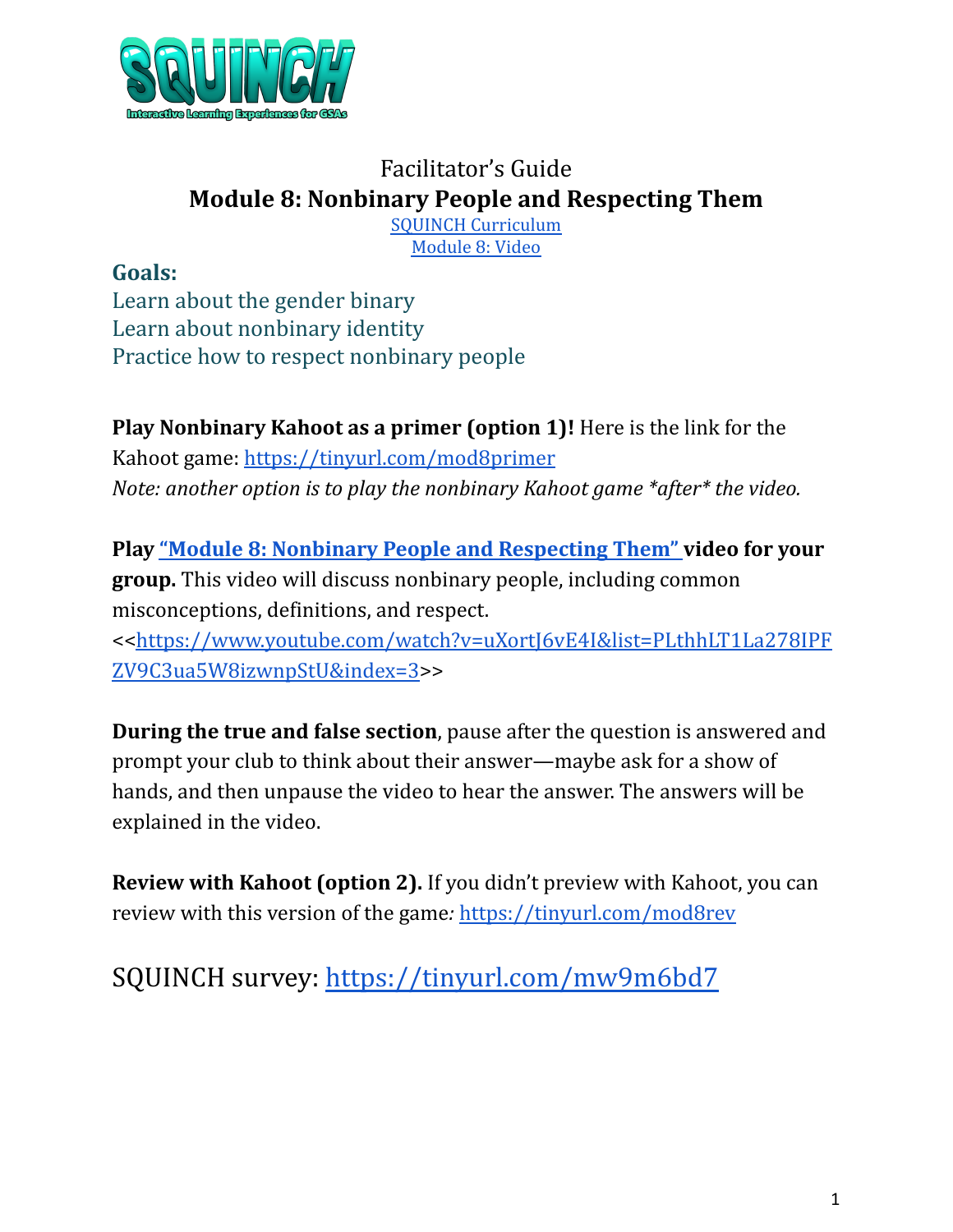

## Facilitator's Guide **Module 8: Nonbinary People and Respecting Them**

[SQUINCH Curriculum](http://healplusnm.org/squinch) [Module 8: Video](https://www.youtube.com/watch?v=uXortJ6vE4I&list=PLthhLT1La278IPFZV9C3ua5W8izwnpStU&index=3)

**Goals:**

Learn about the gender binary Learn about nonbinary identity Practice how to respect nonbinary people

**Play Nonbinary Kahoot as a primer (option 1)!** Here is the link for the Kahoot game: <https://tinyurl.com/mod8primer> *Note: another option is to play the nonbinary Kahoot game \*after\* the video.*

**Play "Module 8: Nonbinary People and [Respecting](https://www.youtube.com/watch?v=uXortJ6vE4I&list=PLthhLT1La278IPFZV9C3ua5W8izwnpStU&index=3) Them" video for your group.** This video will discuss nonbinary people, including common misconceptions, definitions, and respect. <[<https://www.youtube.com/watch?v=uXortJ6vE4I&list=PLthhLT1La278IPF](https://www.youtube.com/watch?v=uXortJ6vE4I&list=PLthhLT1La278IPFZV9C3ua5W8izwnpStU&index=3) [ZV9C3ua5W8izwnpStU&index=3>](https://www.youtube.com/watch?v=uXortJ6vE4I&list=PLthhLT1La278IPFZV9C3ua5W8izwnpStU&index=3)>

**During the true and false section**, pause after the question is answered and prompt your club to think about their answer—maybe ask for a show of hands, and then unpause the video to hear the answer. The answers will be explained in the video.

**Review with Kahoot (option 2).** If you didn't preview with Kahoot, you can review with this version of the game*:* <https://tinyurl.com/mod8rev>

SQUINCH survey: <https://tinyurl.com/mw9m6bd7>